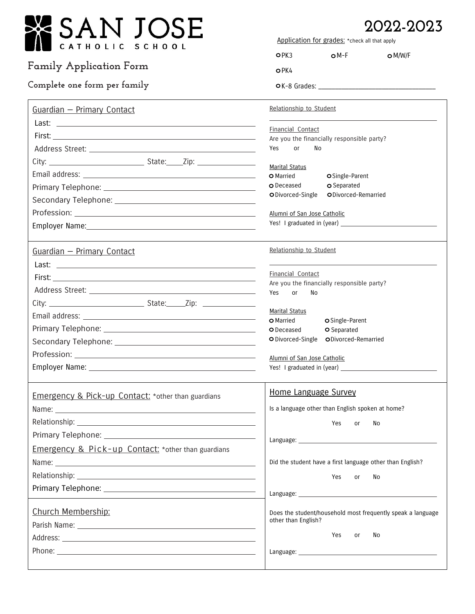| 'SAN JOSE                                                     | 2022-2023<br>Application for grades: * check all that apply |                                                                 |                                                             |
|---------------------------------------------------------------|-------------------------------------------------------------|-----------------------------------------------------------------|-------------------------------------------------------------|
| HOLIC<br>SCHOOL                                               | OPK3                                                        | $OM-F$                                                          | $\bigcirc$ M/W/F                                            |
| <b>Family Application Form</b>                                | OPK4                                                        |                                                                 |                                                             |
| Complete one form per family                                  |                                                             |                                                                 |                                                             |
| Guardian - Primary Contact                                    | Relationship to Student                                     |                                                                 |                                                             |
|                                                               |                                                             |                                                                 |                                                             |
|                                                               |                                                             | Financial Contact<br>Are you the financially responsible party? |                                                             |
|                                                               | Yes<br>or                                                   | No                                                              |                                                             |
|                                                               |                                                             |                                                                 |                                                             |
|                                                               | <b>Marital Status</b><br>O Married                          | OSingle-Parent                                                  |                                                             |
|                                                               | O Deceased                                                  | O Separated                                                     |                                                             |
|                                                               | O Divorced-Single                                           | ODivorced-Remarried                                             |                                                             |
|                                                               | Alumni of San Jose Catholic                                 |                                                                 |                                                             |
|                                                               |                                                             |                                                                 |                                                             |
|                                                               |                                                             |                                                                 |                                                             |
| Guardian - Primary Contact                                    | Relationship to Student                                     |                                                                 |                                                             |
|                                                               |                                                             |                                                                 |                                                             |
|                                                               | Financial Contact                                           | Are you the financially responsible party?                      |                                                             |
|                                                               | Yes<br>No<br><b>or</b>                                      |                                                                 |                                                             |
|                                                               |                                                             |                                                                 |                                                             |
|                                                               | Marital Status<br><b>O</b> Married                          |                                                                 |                                                             |
|                                                               | O Deceased                                                  | O Single-Parent<br>O Separated                                  |                                                             |
|                                                               |                                                             | O Divorced-Single ODivorced-Remarried                           |                                                             |
|                                                               |                                                             |                                                                 |                                                             |
|                                                               | Alumni of San Jose Catholic                                 |                                                                 |                                                             |
|                                                               |                                                             |                                                                 |                                                             |
| <b>Emergency &amp; Pick-up Contact:</b> *other than guardians | <b>Home Language Survey</b>                                 |                                                                 |                                                             |
|                                                               |                                                             | Is a language other than English spoken at home?                |                                                             |
|                                                               |                                                             | Yes<br><b>or</b>                                                | No                                                          |
|                                                               |                                                             |                                                                 |                                                             |
| <b>Emergency &amp; Pick-up Contact:</b> *other than guardians |                                                             |                                                                 |                                                             |
|                                                               |                                                             |                                                                 | Did the student have a first language other than English?   |
|                                                               |                                                             | Yes<br>or                                                       | No                                                          |
|                                                               |                                                             |                                                                 |                                                             |
|                                                               |                                                             |                                                                 |                                                             |
| Church Membership:                                            | other than English?                                         |                                                                 | Does the student/household most frequently speak a language |
|                                                               |                                                             |                                                                 |                                                             |
|                                                               |                                                             | Yes<br>or                                                       | No                                                          |
|                                                               |                                                             |                                                                 |                                                             |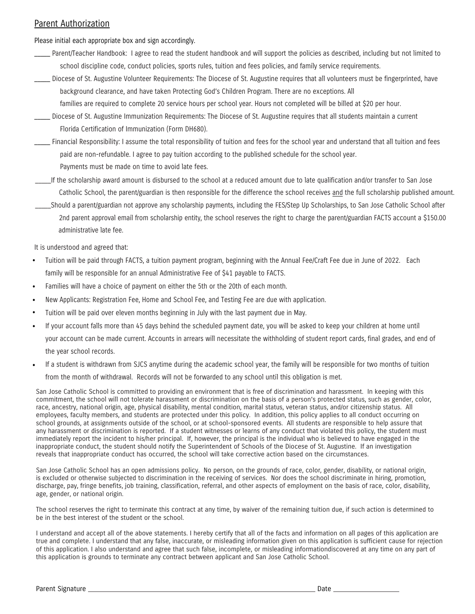### Parent Authorization

Please initial each appropriate box and sign accordingly.

- Parent/Teacher Handbook: I agree to read the student handbook and will support the policies as described, including but not limited to school discipline code, conduct policies, sports rules, tuition and fees policies, and family service requirements.
- \_\_\_\_\_ Diocese of St. Augustine Volunteer Requirements: The Diocese of St. Augustine requires that all volunteers must be fingerprinted, have background clearance, and have taken Protecting God's Children Program. There are no exceptions. All

families are required to complete 20 service hours per school year. Hours not completed will be billed at \$20 per hour.

- \_\_\_\_\_ Diocese of St. Augustine Immunization Requirements: The Diocese of St. Augustine requires that all students maintain a current Florida Certification of Immunization (Form DH680).
- \_\_\_\_\_ Financial Responsibility: I assume the total responsibility of tuition and fees for the school year and understand that all tuition and fees paid are non-refundable. I agree to pay tuition according to the published schedule for the school year. Payments must be made on time to avoid late fees.
- \_\_\_\_\_If the scholarship award amount is disbursed to the school at a reduced amount due to late qualification and/or transfer to San Jose Catholic School, the parent/guardian is then responsible for the difference the school receives and the full scholarship published amount.
- \_\_\_\_\_Should a parent/guardian not approve any scholarship payments, including the FES/Step Up Scholarships, to San Jose Catholic School after 2nd parent approval email from scholarship entity, the school reserves the right to charge the parent/guardian FACTS account a \$150.00 administrative late fee.

It is understood and agreed that:

- Tuition will be paid through FACTS, a tuition payment program, beginning with the Annual Fee/Craft Fee due in June of 2022. Each family will be responsible for an annual Administrative Fee of \$41 payable to FACTS. **•**
- Families will have a choice of payment on either the 5th or the 20th of each month. **•**
- New Applicants: Registration Fee, Home and School Fee, and Testing Fee are due with application. **•**
- Tuition will be paid over eleven months beginning in July with the last payment due in May. **•**
- If your account falls more than 45 days behind the scheduled payment date, you will be asked to keep your children at home until your account can be made current. Accounts in arrears will necessitate the withholding of student report cards, final grades, and end of the year school records. **•**
- If a student is withdrawn from SJCS anytime during the academic school year, the family will be responsible for two months of tuition from the month of withdrawal. Records will not be forwarded to any school until this obligation is met. **•**

San Jose Catholic School is committed to providing an environment that is free of discrimination and harassment. In keeping with this commitment, the school will not tolerate harassment or discrimination on the basis of a person's protected status, such as gender, color, race, ancestry, national origin, age, physical disability, mental condition, marital status, veteran status, and/or citizenship status. All employees, faculty members, and students are protected under this policy. In addition, this policy applies to all conduct occurring on school grounds, at assignments outside of the school, or at school-sponsored events. All students are responsible to help assure that any harassment or discrimination is reported. If a student witnesses or learns of any conduct that violated this policy, the student must immediately report the incident to his/her principal. If, however, the principal is the individual who is believed to have engaged in the inappropriate conduct, the student should notify the Superintendent of Schools of the Diocese of St. Augustine. If an investigation reveals that inappropriate conduct has occurred, the school will take corrective action based on the circumstances.

San Jose Catholic School has an open admissions policy. No person, on the grounds of race, color, gender, disability, or national origin, is excluded or otherwise subjected to discrimination in the receiving of services. Nor does the school discriminate in hiring, promotion, discharge, pay, fringe benefits, job training, classification, referral, and other aspects of employment on the basis of race, color, disability, age, gender, or national origin.

The school reserves the right to terminate this contract at any time, by waiver of the remaining tuition due, if such action is determined to be in the best interest of the student or the school.

I understand and accept all of the above statements. I hereby certify that all of the facts and information on all pages of this application are true and complete. I understand that any false, inaccurate, or misleading information given on this application is sufficient cause for rejection of this application. I also understand and agree that such false, incomplete, or misleading informationdiscovered at any time on any part of this application is grounds to terminate any contract between applicant and San Jose Catholic School.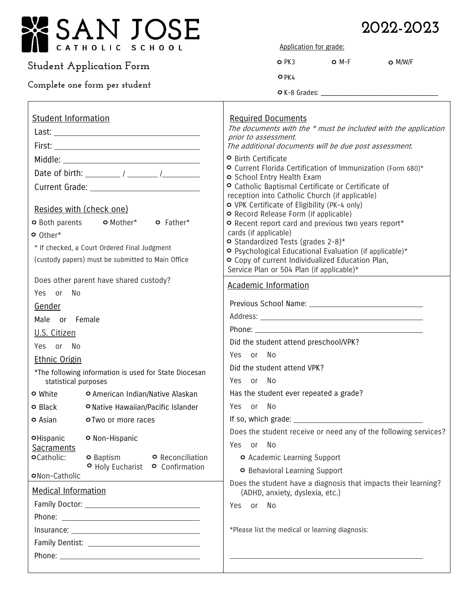

## **Student Application Form**

## **Complete one form per student**

 $\overline{\phantom{a}}$ 

# **2022-2023**

Application for grade:

| $O$ PK $3$ | $O$ M-F | $O$ M/W/F |
|------------|---------|-----------|
| $O$ PK4    |         |           |

 $\circ$  K-8 Grades:  $\_$ 

| <b>Student Information</b>                                                                           | <b>Required Documents</b>                                                                         |  |  |
|------------------------------------------------------------------------------------------------------|---------------------------------------------------------------------------------------------------|--|--|
|                                                                                                      | The documents with the * must be included with the application<br>prior to assessment.            |  |  |
|                                                                                                      | The additional documents will be due post assessment.                                             |  |  |
|                                                                                                      | <b>O</b> Birth Certificate                                                                        |  |  |
|                                                                                                      | O Current Florida Certification of Immunization (Form 680)*<br>O School Entry Health Exam         |  |  |
|                                                                                                      | O Catholic Baptismal Certificate or Certificate of                                                |  |  |
|                                                                                                      | reception into Catholic Church (if applicable)                                                    |  |  |
| Resides with (check one)                                                                             | O VPK Certificate of Eligibility (PK-4 only)<br>O Record Release Form (if applicable)             |  |  |
| o Both parents o Mother* o Father*                                                                   | O Recent report card and previous two years report*                                               |  |  |
| o Other*                                                                                             | cards (if applicable)<br>O Standardized Tests (grades 2-8)*                                       |  |  |
| * If checked, a Court Ordered Final Judgment                                                         | O Psychological Educational Evaluation (if applicable)*                                           |  |  |
| (custody papers) must be submitted to Main Office                                                    | O Copy of current Individualized Education Plan,<br>Service Plan or 504 Plan (if applicable)*     |  |  |
| Does other parent have shared custody?                                                               |                                                                                                   |  |  |
| Yes or No                                                                                            | <b>Academic Information</b>                                                                       |  |  |
| Gender                                                                                               |                                                                                                   |  |  |
| Male or Female                                                                                       |                                                                                                   |  |  |
| U.S. Citizen                                                                                         |                                                                                                   |  |  |
| Yes or No                                                                                            | Did the student attend preschool/VPK?                                                             |  |  |
| <b>Ethnic Origin</b>                                                                                 | Yes or No                                                                                         |  |  |
| *The following information is used for State Diocesan                                                | Did the student attend VPK?                                                                       |  |  |
| statistical purposes                                                                                 | Yes or No                                                                                         |  |  |
| O American Indian/Native Alaskan<br><b>o</b> White                                                   | Has the student ever repeated a grade?                                                            |  |  |
| O Native Hawaiian/Pacific Islander<br><b>o</b> Black                                                 | Yes or No                                                                                         |  |  |
| o Asian<br>o Two or more races                                                                       |                                                                                                   |  |  |
| O Non-Hispanic<br>OHispanic                                                                          | Does the student receive or need any of the following services?                                   |  |  |
| Sacraments                                                                                           | Yes or No                                                                                         |  |  |
| <b>O</b> Reconciliation<br><b>o</b> Catholic:<br><b>O</b> Baptism<br>O Holy Eucharist O Confirmation | <b>O</b> Academic Learning Support                                                                |  |  |
| ONon-Catholic                                                                                        | O Behavioral Learning Support                                                                     |  |  |
| <b>Medical Information</b>                                                                           | Does the student have a diagnosis that impacts their learning?<br>(ADHD, anxiety, dyslexia, etc.) |  |  |
|                                                                                                      | Yes or No                                                                                         |  |  |
|                                                                                                      |                                                                                                   |  |  |
|                                                                                                      | *Please list the medical or learning diagnosis:                                                   |  |  |
|                                                                                                      |                                                                                                   |  |  |
|                                                                                                      |                                                                                                   |  |  |
|                                                                                                      |                                                                                                   |  |  |